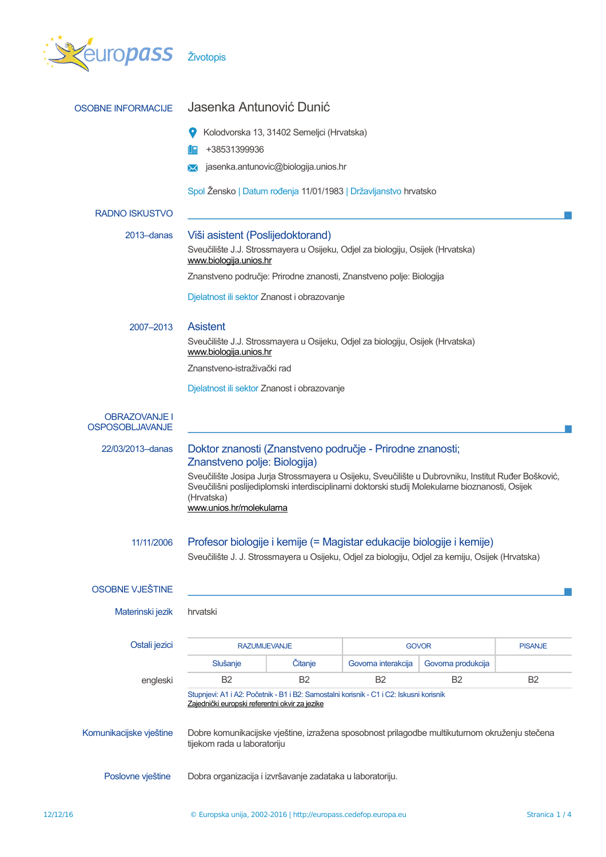

| <b>OSOBNE INFORMACIJE</b>                      | Jasenka Antunović Dunić                                                                                                                                                                                                                                                                                                                        |                                      |                     |                    |                |
|------------------------------------------------|------------------------------------------------------------------------------------------------------------------------------------------------------------------------------------------------------------------------------------------------------------------------------------------------------------------------------------------------|--------------------------------------|---------------------|--------------------|----------------|
|                                                | Kolodvorska 13, 31402 Semeljci (Hrvatska)                                                                                                                                                                                                                                                                                                      |                                      |                     |                    |                |
|                                                | +38531399936                                                                                                                                                                                                                                                                                                                                   |                                      |                     |                    |                |
|                                                | ᢂ                                                                                                                                                                                                                                                                                                                                              | jasenka.antunovic@biologija.unios.hr |                     |                    |                |
|                                                | Spol Žensko   Datum rođenja 11/01/1983   Državljanstvo hrvatsko                                                                                                                                                                                                                                                                                |                                      |                     |                    |                |
| <b>RADNO ISKUSTVO</b>                          |                                                                                                                                                                                                                                                                                                                                                |                                      |                     |                    |                |
| 2013–danas                                     | Viši asistent (Poslijedoktorand)<br>Sveučilište J.J. Strossmayera u Osijeku, Odjel za biologiju, Osijek (Hrvatska)                                                                                                                                                                                                                             |                                      |                     |                    |                |
|                                                | www.biologija.unios.hr                                                                                                                                                                                                                                                                                                                         |                                      |                     |                    |                |
|                                                | Znanstveno područje: Prirodne znanosti, Znanstveno polje: Biologija                                                                                                                                                                                                                                                                            |                                      |                     |                    |                |
|                                                | Djelatnost ili sektor Znanost i obrazovanje                                                                                                                                                                                                                                                                                                    |                                      |                     |                    |                |
| 2007-2013                                      | <b>Asistent</b>                                                                                                                                                                                                                                                                                                                                |                                      |                     |                    |                |
|                                                | Sveučilište J.J. Strossmayera u Osijeku, Odjel za biologiju, Osijek (Hrvatska)<br>www.biologija.unios.hr                                                                                                                                                                                                                                       |                                      |                     |                    |                |
|                                                | Znanstveno-istraživački rad                                                                                                                                                                                                                                                                                                                    |                                      |                     |                    |                |
|                                                | Djelatnost ili sektor Znanost i obrazovanje                                                                                                                                                                                                                                                                                                    |                                      |                     |                    |                |
| <b>OBRAZOVANJE I</b><br><b>OSPOSOBLJAVANJE</b> |                                                                                                                                                                                                                                                                                                                                                |                                      |                     |                    |                |
| 22/03/2013-danas                               | Doktor znanosti (Znanstveno područje - Prirodne znanosti;<br>Znanstveno polje: Biologija)<br>Sveučilište Josipa Jurja Strossmayera u Osijeku, Sveučilište u Dubrovniku, Institut Ruđer Bošković,<br>Sveučilišni poslijediplomski interdisciplinarni doktorski studij Molekularne bioznanosti, Osijek<br>(Hrvatska)<br>www.unios.hr/molekularna |                                      |                     |                    |                |
| 11/11/2006                                     | Profesor biologije i kemije (= Magistar edukacije biologije i kemije)<br>Sveučilište J. J. Strossmayera u Osijeku, Odjel za biologiju, Odjel za kemiju, Osijek (Hrvatska)                                                                                                                                                                      |                                      |                     |                    |                |
| OSOBNE VJEŠTINE                                |                                                                                                                                                                                                                                                                                                                                                |                                      |                     |                    |                |
| Materinski jezik                               | hrvatski                                                                                                                                                                                                                                                                                                                                       |                                      |                     |                    |                |
| Ostali jezici                                  | <b>RAZUMIJEVANJE</b>                                                                                                                                                                                                                                                                                                                           |                                      | <b>GOVOR</b>        |                    | <b>PISANJE</b> |
|                                                | Slušanje                                                                                                                                                                                                                                                                                                                                       | <b>Čitanje</b>                       | Govorna interakcija | Govorna produkcija |                |
| engleski                                       | <b>B2</b>                                                                                                                                                                                                                                                                                                                                      | <b>B2</b>                            | B <sub>2</sub>      | B <sub>2</sub>     | <b>B2</b>      |
| Komunikacijske vještine                        | Stupnjevi: A1 i A2: Početnik - B1 i B2: Samostalni korisnik - C1 i C2: Iskusni korisnik<br>Zajednički europski referentni okvir za jezike<br>Dobre komunikacijske vještine, izražena sposobnost prilagodbe multikuturnom okruženju stečena<br>tijekom rada u laboratoriju                                                                      |                                      |                     |                    |                |
| Poslovne vještine                              | Dobra organizacija i izvršavanje zadataka u laboratoriju.                                                                                                                                                                                                                                                                                      |                                      |                     |                    |                |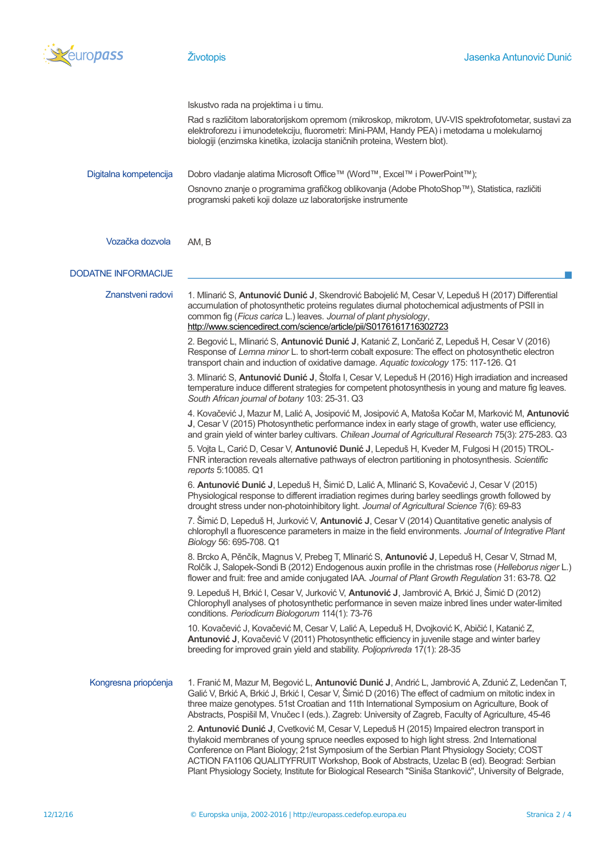

|                            | Iskustvo rada na projektima i u timu.                                                                                                                                                                                                                                                                                                                                                                                                                                                         |
|----------------------------|-----------------------------------------------------------------------------------------------------------------------------------------------------------------------------------------------------------------------------------------------------------------------------------------------------------------------------------------------------------------------------------------------------------------------------------------------------------------------------------------------|
|                            | Rad s različitom laboratorijskom opremom (mikroskop, mikrotom, UV-VIS spektrofotometar, sustavi za<br>elektroforezu i imunodetekciju, fluorometri: Mini-PAM, Handy PEA) i metodama u molekularnoj<br>biologiji (enzimska kinetika, izolacija staničnih proteina, Western blot).                                                                                                                                                                                                               |
| Digitalna kompetencija     | Dobro vladanje alatima Microsoft Office™ (Word™, Excel™ i PowerPoint™);                                                                                                                                                                                                                                                                                                                                                                                                                       |
|                            | Osnovno znanje o programima grafičkog oblikovanja (Adobe PhotoShop™), Statistica, različiti<br>programski paketi koji dolaze uz laboratorijske instrumente                                                                                                                                                                                                                                                                                                                                    |
| Vozačka dozvola            | AM, B                                                                                                                                                                                                                                                                                                                                                                                                                                                                                         |
| <b>DODATNE INFORMACIJE</b> |                                                                                                                                                                                                                                                                                                                                                                                                                                                                                               |
| Znanstveni radovi          | 1. Mlinarić S, Antunović Dunić J, Skendrović Babojelić M, Cesar V, Lepeduš H (2017) Differential<br>accumulation of photosynthetic proteins regulates diurnal photochemical adjustments of PSII in<br>common fig (Ficus carica L.) leaves. Journal of plant physiology,<br>http://www.sciencedirect.com/science/article/pii/S0176161716302723                                                                                                                                                 |
|                            | 2. Begović L, Mlinarić S, Antunović Dunić J, Katanić Z, Lončarić Z, Lepeduš H, Cesar V (2016)<br>Response of Lemna minor L. to short-term cobalt exposure: The effect on photosynthetic electron<br>transport chain and induction of oxidative damage. Aquatic toxicology 175: 117-126. Q1                                                                                                                                                                                                    |
|                            | 3. Mlinarić S, Antunović Dunić J, Štolfa I, Cesar V, Lepeduš H (2016) High irradiation and increased<br>temperature induce different strategies for competent photosynthesis in young and mature fig leaves.<br>South African journal of botany 103: 25-31. Q3                                                                                                                                                                                                                                |
|                            | 4. Kovačević J, Mazur M, Lalić A, Josipović M, Josipović A, Matoša Kočar M, Marković M, Antunović<br>J, Cesar V (2015) Photosynthetic performance index in early stage of growth, water use efficiency,<br>and grain yield of winter barley cultivars. Chilean Journal of Agricultural Research 75(3): 275-283. Q3                                                                                                                                                                            |
|                            | 5. Vojta L, Carić D, Cesar V, Antunović Dunić J, Lepeduš H, Kveder M, Fulgosi H (2015) TROL-<br>FNR interaction reveals alternative pathways of electron partitioning in photosynthesis. Scientific<br>reports 5:10085. Q1                                                                                                                                                                                                                                                                    |
|                            | 6. Antunović Dunić J, Lepeduš H, Šimić D, Lalić A, Mlinarić S, Kovačević J, Cesar V (2015)<br>Physiological response to different irradiation regimes during barley seedlings growth followed by<br>drought stress under non-photoinhibitory light. Journal of Agricultural Science 7(6): 69-83                                                                                                                                                                                               |
|                            | 7. Šimić D, Lepeduš H, Jurković V, Antunović J, Cesar V (2014) Quantitative genetic analysis of<br>chlorophyll a fluorescence parameters in maize in the field environments. Journal of Integrative Plant<br>Biology 56: 695-708. Q1                                                                                                                                                                                                                                                          |
|                            | 8. Brcko A, Pěnčík, Magnus V, Prebeg T, Mlinarić S, Antunović J, Lepeduš H, Cesar V, Stmad M,<br>Rolčík J, Salopek-Sondi B (2012) Endogenous auxin profile in the christmas rose (Helleborus niger L.)<br>flower and fruit: free and amide conjugated IAA. Journal of Plant Growth Regulation 31: 63-78. Q2                                                                                                                                                                                   |
|                            | 9. Lepeduš H, Brkić I, Cesar V, Jurković V, Antunović J, Jambrović A, Brkić J, Šimić D (2012)<br>Chlorophyll analyses of photosynthetic performance in seven maize inbred lines under water-limited<br>conditions. Periodicum Biologorum 114(1): 73-76                                                                                                                                                                                                                                        |
|                            | 10. Kovačević J, Kovačević M, Cesar V, Lalić A, Lepeduš H, Dvojković K, Abičić I, Katanić Z,<br>Antunović J, Kovačević V (2011) Photosynthetic efficiency in juvenile stage and winter barley<br>breeding for improved grain yield and stability. Poljoprivreda 17(1): 28-35                                                                                                                                                                                                                  |
| Kongresna priopćenja       | 1. Franić M, Mazur M, Begović L, Antunović Dunić J, Andrić L, Jambrović A, Zdunić Z, Ledenčan T,<br>Galić V, Brkić A, Brkić J, Brkić I, Cesar V, Šimić D (2016) The effect of cadmium on mitotic index in<br>three maize genotypes. 51st Croatian and 11th International Symposium on Agriculture, Book of<br>Abstracts, Pospišil M, Vnučec I (eds.). Zagreb: University of Zagreb, Faculty of Agriculture, 45-46                                                                             |
|                            | 2. Antunović Dunić J, Cvetković M, Cesar V, Lepeduš H (2015) Impaired electron transport in<br>thylakoid membranes of young spruce needles exposed to high light stress. 2nd International<br>Conference on Plant Biology; 21st Symposium of the Serbian Plant Physiology Society; COST<br>ACTION FA1106 QUALITYFRUIT Workshop, Book of Abstracts, Uzelac B (ed). Beograd: Serbian<br>Plant Physiology Society, Institute for Biological Research "Siniša Stanković", University of Belgrade, |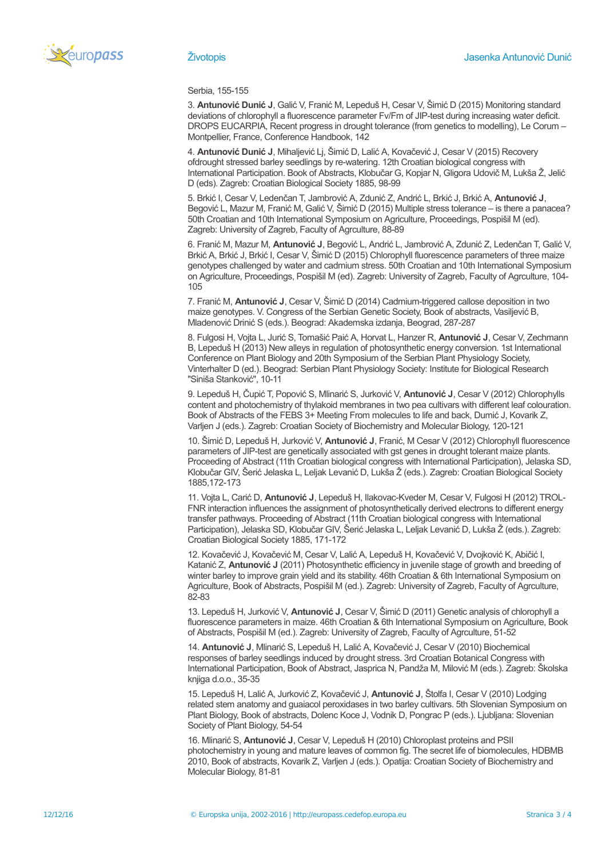

Serbia, 155-155

3. **Antunović Dunić J**, Galić V, Franić M, Lepeduš H, Cesar V, Šimić D (2015) Monitoring standard deviations of chlorophyll a fluorescence parameter Fv/Fm of JIP-test during increasing water deficit. DROPS EUCARPIA, Recent progress in drought tolerance (from genetics to modelling), Le Corum – Montpellier, France, Conference Handbook, 142

4. **Antunović Dunić J**, Mihaljević Lj, Šimić D, Lalić A, Kovačević J, Cesar V (2015) Recovery ofdrought stressed barley seedlings by re-watering. 12th Croatian biological congress with International Participation. Book of Abstracts, Klobučar G, Kopjar N, Gligora Udovič M, Lukša Ž, Jelić D (eds). Zagreb: Croatian Biological Society 1885, 98-99

5. Brkić I, Cesar V, Ledenčan T, Jambrović A, Zdunić Z, Andrić L, Brkić J, Brkić A, **Antunović J**, Begović L, Mazur M, Franić M, Galić V, Šimić D (2015) Multiple stress tolerance – is there a panacea? 50th Croatian and 10th International Symposium on Agriculture, Proceedings, Pospišil M (ed). Zagreb: University of Zagreb, Faculty of Agrculture, 88-89

6. Franić M, Mazur M, **Antunović J**, Begović L, Andrić L, Jambrović A, Zdunić Z, Ledenčan T, Galić V, Brkić A, Brkić J, Brkić I, Cesar V, Šimić D (2015) Chlorophyll fluorescence parameters of three maize genotypes challenged by water and cadmium stress. 50th Croatian and 10th International Symposium on Agriculture, Proceedings, Pospišil M (ed). Zagreb: University of Zagreb, Faculty of Agrculture, 104- 105

7. Franić M, **Antunović J**, Cesar V, Šimić D (2014) Cadmium-triggered callose deposition in two maize genotypes. V. Congress of the Serbian Genetic Society, Book of abstracts, Vasiljević B, Mladenović Drinić S (eds.). Beograd: Akademska izdanja, Beograd, 287-287

8. Fulgosi H, Vojta L, Jurić S, Tomašić Paić A, Horvat L, Hanzer R, **Antunović J**, Cesar V, Zechmann B, Lepeduš H (2013) New alleys in regulation of photosynthetic energy conversion. 1st International Conference on Plant Biology and 20th Symposium of the Serbian Plant Physiology Society, Vinterhalter D (ed.). Beograd: Serbian Plant Physiology Society: Institute for Biological Research "Siniša Stanković", 10-11

9. Lepeduš H, Čupić T, Popović S, Mlinarić S, Jurković V, **Antunović J**, Cesar V (2012) Chlorophylls content and photochemistry of thylakoid membranes in two pea cultivars with different leaf colouration. Book of Abstracts of the FEBS 3+ Meeting From molecules to life and back, Dumić J, Kovarik Z, Varljen J (eds.). Zagreb: Croatian Society of Biochemistry and Molecular Biology, 120-121

10. Šimić D, Lepeduš H, Jurković V, **Antunović J**, Franić, M Cesar V (2012) Chlorophyll fluorescence parameters of JIP-test are genetically associated with gst genes in drought tolerant maize plants. Proceeding of Abstract (11th Croatian biological congress with International Participation), Jelaska SD, Klobučar GIV, Šerić Jelaska L, Leljak Levanić D, Lukša Ž (eds.). Zagreb: Croatian Biological Society 1885,172-173

11. Vojta L, Carić D, **Antunović J**, Lepeduš H, Ilakovac-Kveder M, Cesar V, Fulgosi H (2012) TROL-FNR interaction influences the assignment of photosynthetically derived electrons to different energy transfer pathways. Proceeding of Abstract (11th Croatian biological congress with International Participation), Jelaska SD, Klobučar GIV, Šerić Jelaska L, Leljak Levanić D, Lukša Ž (eds.). Zagreb: Croatian Biological Society 1885, 171-172

12. Kovačević J, Kovačević M, Cesar V, Lalić A, Lepeduš H, Kovačević V, Dvojković K, Abičić I, Katanić Z, **Antunović J** (2011) Photosynthetic efficiency in juvenile stage of growth and breeding of winter barley to improve grain yield and its stability. 46th Croatian & 6th International Symposium on Agriculture, Book of Abstracts, Pospišil M (ed.). Zagreb: University of Zagreb, Faculty of Agrculture, 82-83

13. Lepeduš H, Jurković V, **Antunović J**, Cesar V, Šimić D (2011) Genetic analysis of chlorophyll a fluorescence parameters in maize. 46th Croatian & 6th International Symposium on Agriculture, Book of Abstracts, Pospišil M (ed.). Zagreb: University of Zagreb, Faculty of Agrculture, 51-52

14. **Antunović J**, Mlinarić S, Lepeduš H, Lalić A, Kovačević J, Cesar V (2010) Biochemical responses of barley seedlings induced by drought stress. 3rd Croatian Botanical Congress with International Participation, Book of Abstract, Jasprica N, Pandža M, Milović M (eds.). Zagreb: Školska knjiga d.o.o., 35-35

15. Lepeduš H, Lalić A, Jurković Z, Kovačević J, **Antunović J**, Štolfa I, Cesar V (2010) Lodging related stem anatomy and guaiacol peroxidases in two barley cultivars. 5th Slovenian Symposium on Plant Biology, Book of abstracts, Dolenc Koce J, Vodnik D, Pongrac P (eds.). Ljubljana: Slovenian Society of Plant Biology, 54-54

16. Mlinarić S, **Antunović J**, Cesar V, Lepeduš H (2010) Chloroplast proteins and PSII photochemistry in young and mature leaves of common fig. The secret life of biomolecules, HDBMB 2010, Book of abstracts, Kovarik Z, Varljen J (eds.). Opatija: Croatian Society of Biochemistry and Molecular Biology, 81-81